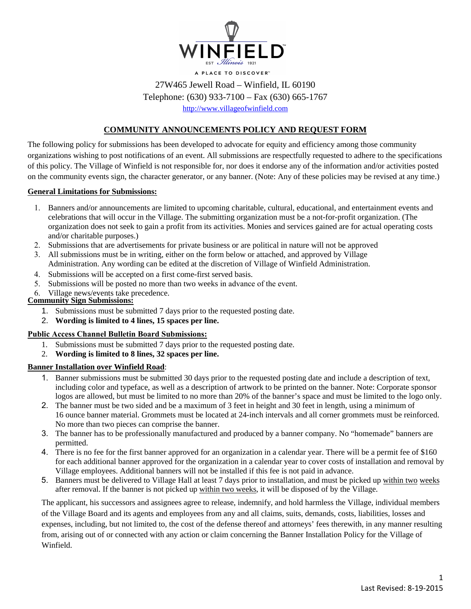

# 27W465 Jewell Road – Winfield, IL 60190

Telephone: (630) 933-7100 – Fax (630) 665-1767

[http://www.villageofwinfield.com](http://www.villageofwinfield.com/)

# **COMMUNITY ANNOUNCEMENTS POLICY AND REQUEST FORM**

The following policy for submissions has been developed to advocate for equity and efficiency among those community organizations wishing to post notifications of an event. All submissions are respectfully requested to adhere to the specifications of this policy. The Village of Winfield is not responsible for, nor does it endorse any of the information and/or activities posted on the community events sign, the character generator, or any banner. (Note: Any of these policies may be revised at any time.)

#### **General Limitations for Submissions:**

- 1. Banners and/or announcements are limited to upcoming charitable, cultural, educational, and entertainment events and celebrations that will occur in the Village. The submitting organization must be a not-for-profit organization. (The organization does not seek to gain a profit from its activities. Monies and services gained are for actual operating costs and/or charitable purposes.)
- 2. Submissions that are advertisements for private business or are political in nature will not be approved
- 3. All submissions must be in writing, either on the form below or attached, and approved by Village Administration. Any wording can be edited at the discretion of Village of Winfield Administration.
- 4. Submissions will be accepted on a first come-first served basis.
- 5. Submissions will be posted no more than two weeks in advance of the event.
- 6. Village news/events take precedence.

### **Community Sign Submissions:**

- 1. Submissions must be submitted 7 days prior to the requested posting date.
- 2. **Wording is limited to 4 lines, 15 spaces per line.**

#### **Public Access Channel Bulletin Board Submissions:**

- 1. Submissions must be submitted 7 days prior to the requested posting date.
- 2. **Wording is limited to 8 lines, 32 spaces per line.**

## **Banner Installation over Winfield Road**:

- 1. Banner submissions must be submitted 30 days prior to the requested posting date and include a description of text, including color and typeface, as well as a description of artwork to be printed on the banner. Note: Corporate sponsor logos are allowed, but must be limited to no more than 20% of the banner's space and must be limited to the logo only.
- 2. The banner must be two sided and be a maximum of 3 feet in height and 30 feet in length, using a minimum of 16 ounce banner material. Grommets must be located at 24-inch intervals and all corner grommets must be reinforced. No more than two pieces can comprise the banner.
- 3. The banner has to be professionally manufactured and produced by a banner company. No "homemade" banners are permitted.
- 4. There is no fee for the first banner approved for an organization in a calendar year. There will be a permit fee of \$160 for each additional banner approved for the organization in a calendar year to cover costs of installation and removal by Village employees. Additional banners will not be installed if this fee is not paid in advance.
- 5. Banners must be delivered to Village Hall at least 7 days prior to installation, and must be picked up within two weeks after removal. If the banner is not picked up within two weeks, it will be disposed of by the Village.

The applicant, his successors and assignees agree to release, indemnify, and hold harmless the Village, individual members of the Village Board and its agents and employees from any and all claims, suits, demands, costs, liabilities, losses and expenses, including, but not limited to, the cost of the defense thereof and attorneys' fees therewith, in any manner resulting from, arising out of or connected with any action or claim concerning the Banner Installation Policy for the Village of Winfield.